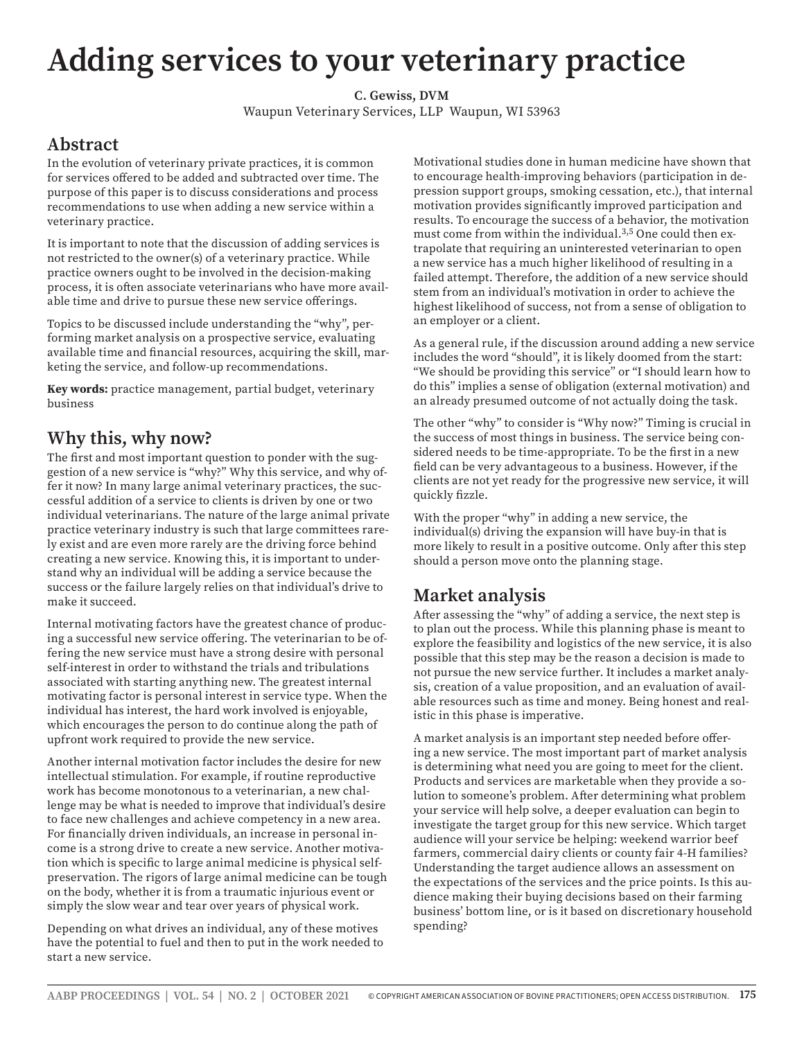# **Adding services to your veterinary practice**

**C. Gewiss, DVM** Waupun Veterinary Services, LLP Waupun, WI 53963

### **Abstract**

In the evolution of veterinary private practices, it is common for services offered to be added and subtracted over time. The purpose of this paper is to discuss considerations and process recommendations to use when adding a new service within a veterinary practice.

It is important to note that the discussion of adding services is not restricted to the owner(s) of a veterinary practice. While practice owners ought to be involved in the decision-making process, it is often associate veterinarians who have more available time and drive to pursue these new service offerings.

Topics to be discussed include understanding the "why", performing market analysis on a prospective service, evaluating available time and financial resources, acquiring the skill, marketing the service, and follow-up recommendations.

**Key words:** practice management, partial budget, veterinary business

#### **Why this, why now?**

The first and most important question to ponder with the suggestion of a new service is "why?" Why this service, and why offer it now? In many large animal veterinary practices, the successful addition of a service to clients is driven by one or two individual veterinarians. The nature of the large animal private practice veterinary industry is such that large committees rarely exist and are even more rarely are the driving force behind creating a new service. Knowing this, it is important to understand why an individual will be adding a service because the success or the failure largely relies on that individual's drive to make it succeed.

Internal motivating factors have the greatest chance of producing a successful new service offering. The veterinarian to be offering the new service must have a strong desire with personal self-interest in order to withstand the trials and tribulations associated with starting anything new. The greatest internal motivating factor is personal interest in service type. When the individual has interest, the hard work involved is enjoyable, which encourages the person to do continue along the path of upfront work required to provide the new service.

Another internal motivation factor includes the desire for new intellectual stimulation. For example, if routine reproductive work has become monotonous to a veterinarian, a new challenge may be what is needed to improve that individual's desire to face new challenges and achieve competency in a new area. For financially driven individuals, an increase in personal income is a strong drive to create a new service. Another motivation which is specific to large animal medicine is physical selfpreservation. The rigors of large animal medicine can be tough on the body, whether it is from a traumatic injurious event or simply the slow wear and tear over years of physical work.

Depending on what drives an individual, any of these motives have the potential to fuel and then to put in the work needed to start a new service.

Motivational studies done in human medicine have shown that to encourage health-improving behaviors (participation in depression support groups, smoking cessation, etc.), that internal motivation provides significantly improved participation and results. To encourage the success of a behavior, the motivation must come from within the individual.<sup>3,5</sup> One could then extrapolate that requiring an uninterested veterinarian to open a new service has a much higher likelihood of resulting in a failed attempt. Therefore, the addition of a new service should stem from an individual's motivation in order to achieve the highest likelihood of success, not from a sense of obligation to an employer or a client.

As a general rule, if the discussion around adding a new service includes the word "should", it is likely doomed from the start: "We should be providing this service" or "I should learn how to do this" implies a sense of obligation (external motivation) and an already presumed outcome of not actually doing the task.

The other "why" to consider is "Why now?" Timing is crucial in the success of most things in business. The service being considered needs to be time-appropriate. To be the first in a new field can be very advantageous to a business. However, if the clients are not yet ready for the progressive new service, it will quickly fizzle.

With the proper "why" in adding a new service, the individual(s) driving the expansion will have buy-in that is more likely to result in a positive outcome. Only after this step should a person move onto the planning stage.

#### **Market analysis**

After assessing the "why" of adding a service, the next step is to plan out the process. While this planning phase is meant to explore the feasibility and logistics of the new service, it is also possible that this step may be the reason a decision is made to not pursue the new service further. It includes a market analysis, creation of a value proposition, and an evaluation of available resources such as time and money. Being honest and realistic in this phase is imperative.

A market analysis is an important step needed before offering a new service. The most important part of market analysis is determining what need you are going to meet for the client. Products and services are marketable when they provide a solution to someone's problem. After determining what problem your service will help solve, a deeper evaluation can begin to investigate the target group for this new service. Which target audience will your service be helping: weekend warrior beef farmers, commercial dairy clients or county fair 4-H families? Understanding the target audience allows an assessment on the expectations of the services and the price points. Is this audience making their buying decisions based on their farming business' bottom line, or is it based on discretionary household spending?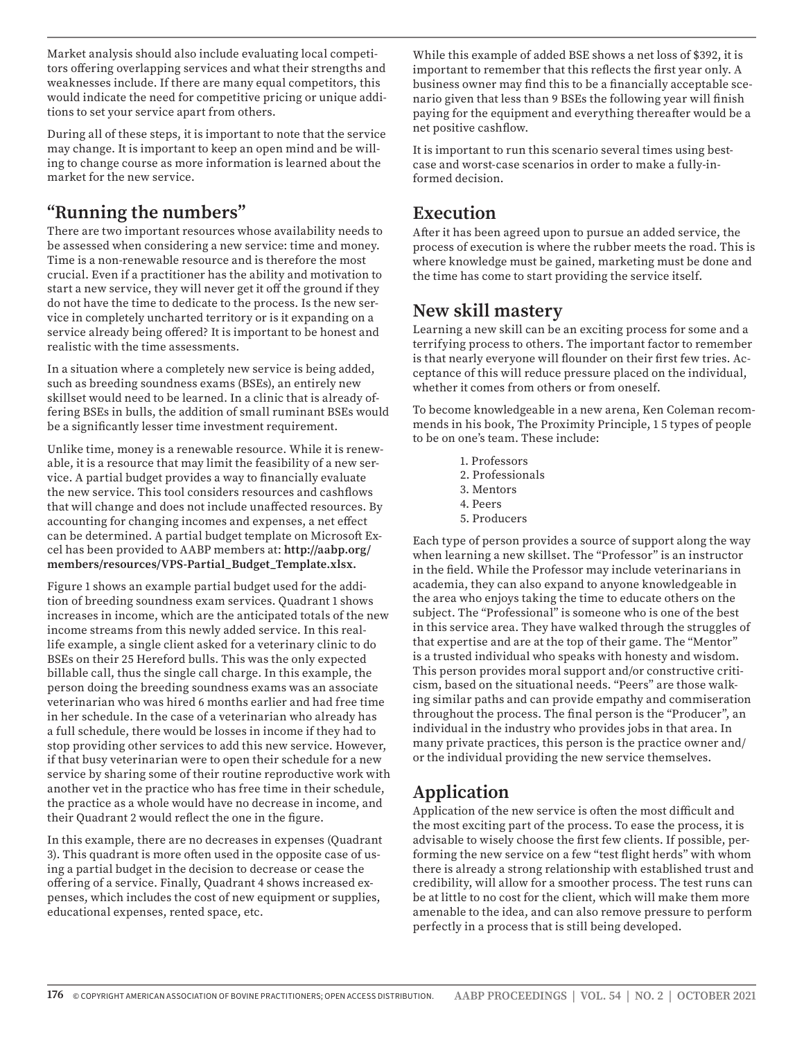Market analysis should also include evaluating local competitors offering overlapping services and what their strengths and weaknesses include. If there are many equal competitors, this would indicate the need for competitive pricing or unique additions to set your service apart from others.

During all of these steps, it is important to note that the service may change. It is important to keep an open mind and be willing to change course as more information is learned about the market for the new service.

# **"Running the numbers"**

There are two important resources whose availability needs to be assessed when considering a new service: time and money. Time is a non-renewable resource and is therefore the most crucial. Even if a practitioner has the ability and motivation to start a new service, they will never get it off the ground if they do not have the time to dedicate to the process. Is the new service in completely uncharted territory or is it expanding on a service already being offered? It is important to be honest and realistic with the time assessments.

In a situation where a completely new service is being added, such as breeding soundness exams (BSEs), an entirely new skillset would need to be learned. In a clinic that is already offering BSEs in bulls, the addition of small ruminant BSEs would be a significantly lesser time investment requirement.

Unlike time, money is a renewable resource. While it is renewable, it is a resource that may limit the feasibility of a new service. A partial budget provides a way to financially evaluate the new service. This tool considers resources and cashflows that will change and does not include unaffected resources. By accounting for changing incomes and expenses, a net effect can be determined. A partial budget template on Microsoft Excel has been provided to AABP members at: **http://aabp.org/ members/resources/VPS-Partial\_Budget\_Template.xlsx.** 

Figure 1 shows an example partial budget used for the addition of breeding soundness exam services. Quadrant 1 shows increases in income, which are the anticipated totals of the new income streams from this newly added service. In this reallife example, a single client asked for a veterinary clinic to do BSEs on their 25 Hereford bulls. This was the only expected billable call, thus the single call charge. In this example, the person doing the breeding soundness exams was an associate veterinarian who was hired 6 months earlier and had free time in her schedule. In the case of a veterinarian who already has a full schedule, there would be losses in income if they had to stop providing other services to add this new service. However, if that busy veterinarian were to open their schedule for a new service by sharing some of their routine reproductive work with another vet in the practice who has free time in their schedule, the practice as a whole would have no decrease in income, and their Quadrant 2 would reflect the one in the figure.

In this example, there are no decreases in expenses (Quadrant 3). This quadrant is more often used in the opposite case of using a partial budget in the decision to decrease or cease the offering of a service. Finally, Quadrant 4 shows increased expenses, which includes the cost of new equipment or supplies, educational expenses, rented space, etc.

While this example of added BSE shows a net loss of \$392, it is important to remember that this reflects the first year only. A business owner may find this to be a financially acceptable scenario given that less than 9 BSEs the following year will finish paying for the equipment and everything thereafter would be a net positive cashflow.

It is important to run this scenario several times using bestcase and worst-case scenarios in order to make a fully-informed decision.

# **Execution**

After it has been agreed upon to pursue an added service, the process of execution is where the rubber meets the road. This is where knowledge must be gained, marketing must be done and the time has come to start providing the service itself.

#### **New skill mastery**

Learning a new skill can be an exciting process for some and a terrifying process to others. The important factor to remember is that nearly everyone will flounder on their first few tries. Acceptance of this will reduce pressure placed on the individual, whether it comes from others or from oneself.

To become knowledgeable in a new arena, Ken Coleman recommends in his book, The Proximity Principle, 1 5 types of people to be on one's team. These include:

- 1. Professors
- 2. Professionals
- 3. Mentors
- 4. Peers
- 5. Producers

Each type of person provides a source of support along the way when learning a new skillset. The "Professor" is an instructor in the field. While the Professor may include veterinarians in academia, they can also expand to anyone knowledgeable in the area who enjoys taking the time to educate others on the subject. The "Professional" is someone who is one of the best in this service area. They have walked through the struggles of that expertise and are at the top of their game. The "Mentor" is a trusted individual who speaks with honesty and wisdom. This person provides moral support and/or constructive criticism, based on the situational needs. "Peers" are those walking similar paths and can provide empathy and commiseration throughout the process. The final person is the "Producer", an individual in the industry who provides jobs in that area. In many private practices, this person is the practice owner and/ or the individual providing the new service themselves.

# **Application**

Application of the new service is often the most difficult and the most exciting part of the process. To ease the process, it is advisable to wisely choose the first few clients. If possible, performing the new service on a few "test flight herds" with whom there is already a strong relationship with established trust and credibility, will allow for a smoother process. The test runs can be at little to no cost for the client, which will make them more amenable to the idea, and can also remove pressure to perform perfectly in a process that is still being developed.